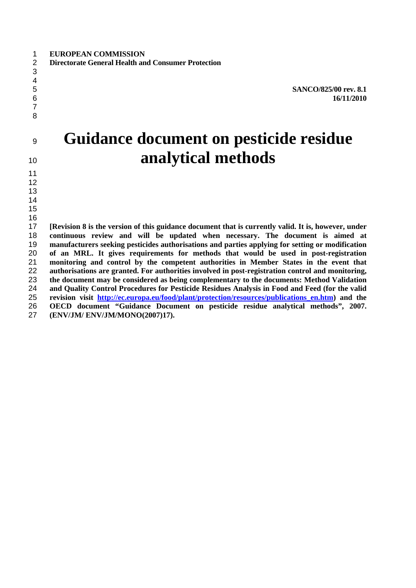**SANCO/825/00 rev. 8.1 16/11/2010**

# **Guidance document on pesticide residue analytical methods**

 **[Revision 8 is the version of this guidance document that is currently valid. It is, however, under continuous review and will be updated when necessary. The document is aimed at manufacturers seeking pesticides authorisations and parties applying for setting or modification of an MRL. It gives requirements for methods that would be used in post-registration monitoring and control by the competent authorities in Member States in the event that authorisations are granted. For authorities involved in post-registration control and monitoring, the document may be considered as being complementary to the documents: Method Validation and Quality Control Procedures for Pesticide Residues Analysis in Food and Feed (for the valid revision visit http://ec.europa.eu/food/plant/protection/resources/publications\_en.htm) and the OECD document "Guidance Document on pesticide residue analytical methods", 2007. (ENV/JM/ ENV/JM/MONO(2007)17).**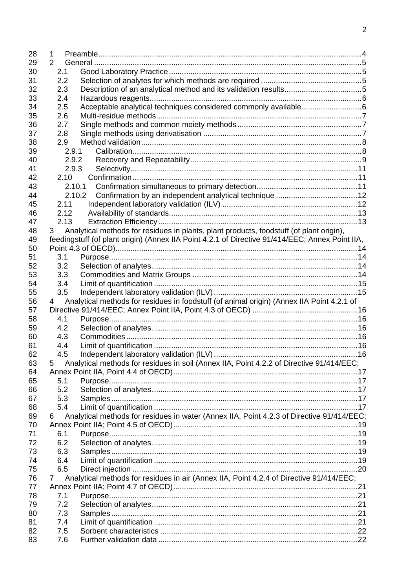| 28 | 1              |                                                                                                 |  |
|----|----------------|-------------------------------------------------------------------------------------------------|--|
| 29 | $\overline{2}$ |                                                                                                 |  |
| 30 | 2.1            |                                                                                                 |  |
| 31 | 2.2            |                                                                                                 |  |
| 32 | 2.3            |                                                                                                 |  |
| 33 | 2.4            |                                                                                                 |  |
| 34 | 2.5            | Acceptable analytical techniques considered commonly available6                                 |  |
| 35 | 2.6            |                                                                                                 |  |
| 36 | 2.7            |                                                                                                 |  |
| 37 | 2.8            |                                                                                                 |  |
| 38 | 2.9            |                                                                                                 |  |
| 39 | 2.9.1          |                                                                                                 |  |
| 40 | 2.9.2          |                                                                                                 |  |
| 41 | 2.9.3          |                                                                                                 |  |
| 42 | 2.10           |                                                                                                 |  |
| 43 | 2.10.1         |                                                                                                 |  |
| 44 | 2.10.2         |                                                                                                 |  |
| 45 | 2.11           |                                                                                                 |  |
| 46 | 2.12           |                                                                                                 |  |
| 47 | 2.13           |                                                                                                 |  |
| 48 | 3              | Analytical methods for residues in plants, plant products, foodstuff (of plant origin),         |  |
| 49 |                | feedingstuff (of plant origin) (Annex IIA Point 4.2.1 of Directive 91/414/EEC; Annex Point IIA, |  |
| 50 |                |                                                                                                 |  |
| 51 | 3.1            |                                                                                                 |  |
| 52 | 3.2            |                                                                                                 |  |
| 53 | 3.3            |                                                                                                 |  |
| 54 | 3.4            |                                                                                                 |  |
| 55 | 3.5            |                                                                                                 |  |
| 56 | 4              | Analytical methods for residues in foodstuff (of animal origin) (Annex IIA Point 4.2.1 of       |  |
| 57 |                |                                                                                                 |  |
| 58 | 4.1            |                                                                                                 |  |
| 59 | 4.2            |                                                                                                 |  |
| 60 | 4.3            |                                                                                                 |  |
| 61 | 4.4            |                                                                                                 |  |
| 62 | 4.5            |                                                                                                 |  |
| 63 | 5              | Analytical methods for residues in soil (Annex IIA, Point 4.2.2 of Directive 91/414/EEC;        |  |
| 64 |                |                                                                                                 |  |
| 65 | 5.1            |                                                                                                 |  |
| 66 | 5.2            |                                                                                                 |  |
| 67 | 5.3            |                                                                                                 |  |
| 68 | 5.4            |                                                                                                 |  |
| 69 | 6              | Analytical methods for residues in water (Annex IIA, Point 4.2.3 of Directive 91/414/EEC;       |  |
| 70 |                |                                                                                                 |  |
| 71 | 6.1            |                                                                                                 |  |
| 72 | 6.2            |                                                                                                 |  |
| 73 | 6.3            |                                                                                                 |  |
| 74 | 6.4            |                                                                                                 |  |
| 75 | 6.5            |                                                                                                 |  |
| 76 | $\mathbf{7}$   | Analytical methods for residues in air (Annex IIA, Point 4.2.4 of Directive 91/414/EEC;         |  |
| 77 |                |                                                                                                 |  |
| 78 | 7.1            |                                                                                                 |  |
| 79 | 7.2            |                                                                                                 |  |
| 80 | 7.3            |                                                                                                 |  |
| 81 | 7.4            |                                                                                                 |  |
| 82 | 7.5            |                                                                                                 |  |
| 83 | 7.6            |                                                                                                 |  |
|    |                |                                                                                                 |  |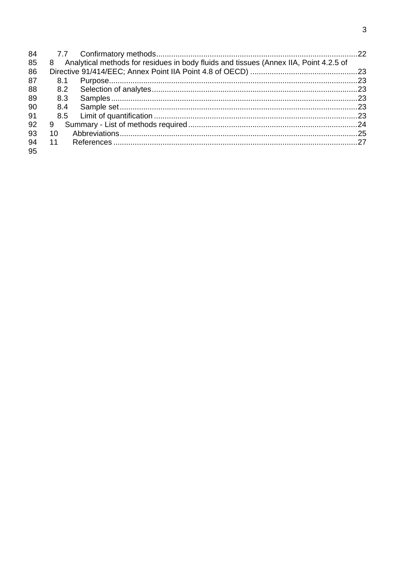| 84 |     |                                                                                         |  |
|----|-----|-----------------------------------------------------------------------------------------|--|
| 85 |     | 8 Analytical methods for residues in body fluids and tissues (Annex IIA, Point 4.2.5 of |  |
| 86 |     |                                                                                         |  |
| 87 | 8.1 |                                                                                         |  |
| 88 | 8.2 |                                                                                         |  |
| 89 | 8.3 |                                                                                         |  |
| 90 | 8.4 |                                                                                         |  |
| 91 |     |                                                                                         |  |
| 92 | 9   |                                                                                         |  |
| 93 | 10  |                                                                                         |  |
| 94 |     |                                                                                         |  |
| 95 |     |                                                                                         |  |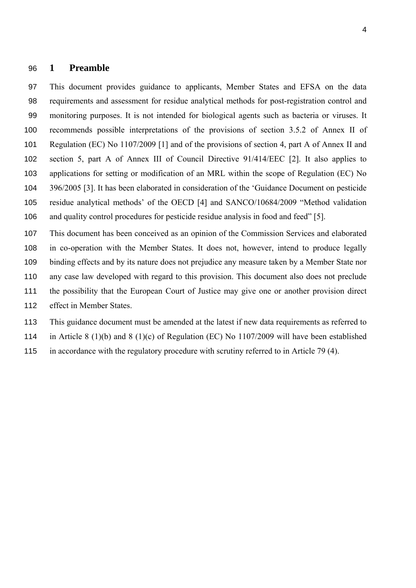#### **1 Preamble**

This document provides guidance to applicants, Member States and EFSA on the data requirements and assessment for residue analytical methods for post-registration control and monitoring purposes. It is not intended for biological agents such as bacteria or viruses. It recommends possible interpretations of the provisions of section 3.5.2 of Annex II of Regulation (EC) No 1107/2009 [1] and of the provisions of section 4, part A of Annex II and section 5, part A of Annex III of Council Directive 91/414/EEC [2]. It also applies to applications for setting or modification of an MRL within the scope of Regulation (EC) No 396/2005 [3]. It has been elaborated in consideration of the 'Guidance Document on pesticide residue analytical methods' of the OECD [4] and SANCO/10684/2009 "Method validation and quality control procedures for pesticide residue analysis in food and feed" [5].

This document has been conceived as an opinion of the Commission Services and elaborated in co-operation with the Member States. It does not, however, intend to produce legally binding effects and by its nature does not prejudice any measure taken by a Member State nor any case law developed with regard to this provision. This document also does not preclude the possibility that the European Court of Justice may give one or another provision direct effect in Member States.

This guidance document must be amended at the latest if new data requirements as referred to

in Article 8 (1)(b) and 8 (1)(c) of Regulation (EC) No 1107/2009 will have been established

in accordance with the regulatory procedure with scrutiny referred to in Article 79 (4).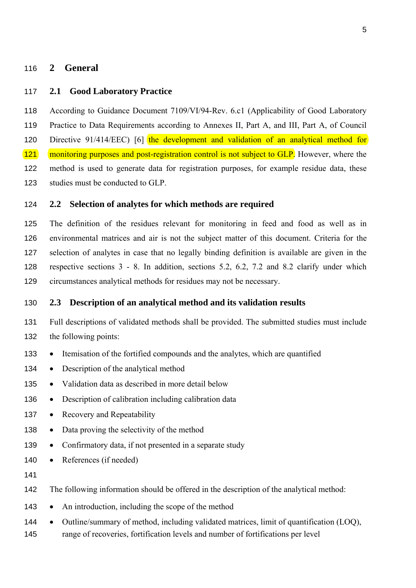#### **2 General**

#### **2.1 Good Laboratory Practice**

According to Guidance Document 7109/VI/94-Rev. 6.c1 (Applicability of Good Laboratory Practice to Data Requirements according to Annexes II, Part A, and III, Part A, of Council 120 Directive 91/414/EEC) [6] the development and validation of an analytical method for 121 monitoring purposes and post-registration control is not subject to GLP. However, where the method is used to generate data for registration purposes, for example residue data, these studies must be conducted to GLP.

#### **2.2 Selection of analytes for which methods are required**

The definition of the residues relevant for monitoring in feed and food as well as in environmental matrices and air is not the subject matter of this document. Criteria for the selection of analytes in case that no legally binding definition is available are given in the respective sections 3 - 8. In addition, sections 5.2, 6.2, 7.2 and 8.2 clarify under which circumstances analytical methods for residues may not be necessary.

#### **2.3 Description of an analytical method and its validation results**

- Full descriptions of validated methods shall be provided. The submitted studies must include the following points:
- Itemisation of the fortified compounds and the analytes, which are quantified
- 134 Description of the analytical method
- Validation data as described in more detail below
- 136 Description of calibration including calibration data
- 137 Recovery and Repeatability
- 138 Data proving the selectivity of the method
- 139 Confirmatory data, if not presented in a separate study
- 140 References (if needed)
- 

The following information should be offered in the description of the analytical method:

- 143 An introduction, including the scope of the method
- 144 Outline/summary of method, including validated matrices, limit of quantification (LOQ),
- range of recoveries, fortification levels and number of fortifications per level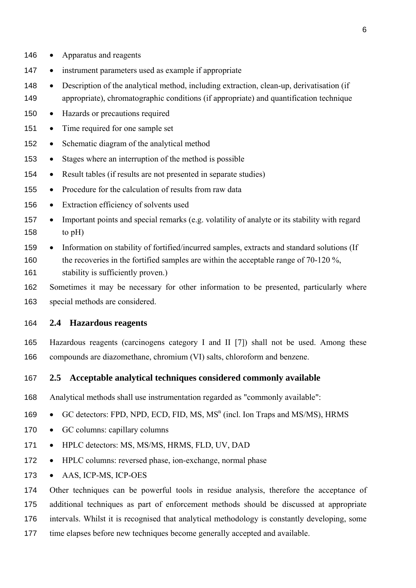- 146 Apparatus and reagents
- 147 instrument parameters used as example if appropriate
- Description of the analytical method, including extraction, clean-up, derivatisation (if appropriate), chromatographic conditions (if appropriate) and quantification technique
- 150 Hazards or precautions required
- 151 Time required for one sample set
- Schematic diagram of the analytical method
- Stages where an interruption of the method is possible
- Result tables (if results are not presented in separate studies)
- Procedure for the calculation of results from raw data
- Extraction efficiency of solvents used
- Important points and special remarks (e.g. volatility of analyte or its stability with regard 158 to  $pH$ )
- Information on stability of fortified/incurred samples, extracts and standard solutions (If 160 the recoveries in the fortified samples are within the acceptable range of 70-120 %, stability is sufficiently proven.)
- Sometimes it may be necessary for other information to be presented, particularly where special methods are considered.

#### **2.4 Hazardous reagents**

Hazardous reagents (carcinogens category I and II [7]) shall not be used. Among these compounds are diazomethane, chromium (VI) salts, chloroform and benzene.

#### **2.5 Acceptable analytical techniques considered commonly available**

- Analytical methods shall use instrumentation regarded as "commonly available":
- 169 GC detectors: FPD, NPD, ECD, FID, MS,  $MS<sup>n</sup>$  (incl. Ion Traps and MS/MS), HRMS
- 170 GC columns: capillary columns
- 171 HPLC detectors: MS, MS/MS, HRMS, FLD, UV, DAD
- 172 HPLC columns: reversed phase, ion-exchange, normal phase
- 173 AAS, ICP-MS, ICP-OES

Other techniques can be powerful tools in residue analysis, therefore the acceptance of additional techniques as part of enforcement methods should be discussed at appropriate

- intervals. Whilst it is recognised that analytical methodology is constantly developing, some
- time elapses before new techniques become generally accepted and available.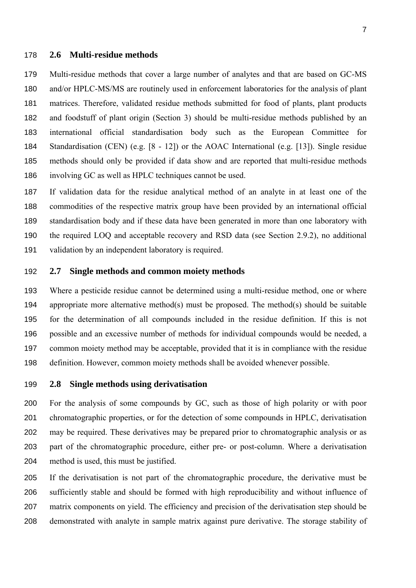#### **2.6 Multi-residue methods**

Multi-residue methods that cover a large number of analytes and that are based on GC-MS and/or HPLC-MS/MS are routinely used in enforcement laboratories for the analysis of plant matrices. Therefore, validated residue methods submitted for food of plants, plant products and foodstuff of plant origin (Section 3) should be multi-residue methods published by an international official standardisation body such as the European Committee for Standardisation (CEN) (e.g. [8 - 12]) or the AOAC International (e.g. [13]). Single residue methods should only be provided if data show and are reported that multi-residue methods involving GC as well as HPLC techniques cannot be used.

If validation data for the residue analytical method of an analyte in at least one of the commodities of the respective matrix group have been provided by an international official standardisation body and if these data have been generated in more than one laboratory with the required LOQ and acceptable recovery and RSD data (see Section 2.9.2), no additional validation by an independent laboratory is required.

#### **2.7 Single methods and common moiety methods**

Where a pesticide residue cannot be determined using a multi-residue method, one or where appropriate more alternative method(s) must be proposed. The method(s) should be suitable for the determination of all compounds included in the residue definition. If this is not possible and an excessive number of methods for individual compounds would be needed, a common moiety method may be acceptable, provided that it is in compliance with the residue definition. However, common moiety methods shall be avoided whenever possible.

#### **2.8 Single methods using derivatisation**

For the analysis of some compounds by GC, such as those of high polarity or with poor chromatographic properties, or for the detection of some compounds in HPLC, derivatisation may be required. These derivatives may be prepared prior to chromatographic analysis or as part of the chromatographic procedure, either pre- or post-column. Where a derivatisation method is used, this must be justified.

If the derivatisation is not part of the chromatographic procedure, the derivative must be sufficiently stable and should be formed with high reproducibility and without influence of matrix components on yield. The efficiency and precision of the derivatisation step should be demonstrated with analyte in sample matrix against pure derivative. The storage stability of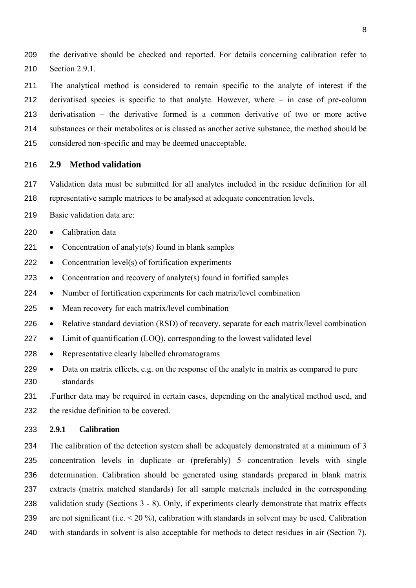the derivative should be checked and reported. For details concerning calibration refer to Section 2.9.1.

The analytical method is considered to remain specific to the analyte of interest if the derivatised species is specific to that analyte. However, where – in case of pre-column derivatisation – the derivative formed is a common derivative of two or more active substances or their metabolites or is classed as another active substance, the method should be considered non-specific and may be deemed unacceptable.

#### **2.9 Method validation**

- Validation data must be submitted for all analytes included in the residue definition for all representative sample matrices to be analysed at adequate concentration levels.
- Basic validation data are:
- 220 Calibration data
- Concentration of analyte(s) found in blank samples
- Concentration level(s) of fortification experiments
- Concentration and recovery of analyte(s) found in fortified samples
- Number of fortification experiments for each matrix/level combination
- Mean recovery for each matrix/level combination
- Relative standard deviation (RSD) of recovery, separate for each matrix/level combination
- Limit of quantification (LOQ), corresponding to the lowest validated level
- Representative clearly labelled chromatograms
- Data on matrix effects, e.g. on the response of the analyte in matrix as compared to pure standards
- .Further data may be required in certain cases, depending on the analytical method used, and the residue definition to be covered.

#### **2.9.1 Calibration**

The calibration of the detection system shall be adequately demonstrated at a minimum of 3 concentration levels in duplicate or (preferably) 5 concentration levels with single determination. Calibration should be generated using standards prepared in blank matrix extracts (matrix matched standards) for all sample materials included in the corresponding validation study (Sections 3 - 8). Only, if experiments clearly demonstrate that matrix effects are not significant (i.e. < 20 %), calibration with standards in solvent may be used. Calibration with standards in solvent is also acceptable for methods to detect residues in air (Section 7).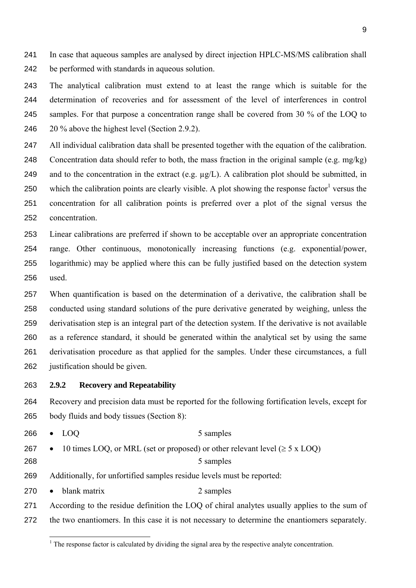In case that aqueous samples are analysed by direct injection HPLC-MS/MS calibration shall be performed with standards in aqueous solution.

The analytical calibration must extend to at least the range which is suitable for the determination of recoveries and for assessment of the level of interferences in control samples. For that purpose a concentration range shall be covered from 30 % of the LOQ to 20 % above the highest level (Section 2.9.2).

All individual calibration data shall be presented together with the equation of the calibration. Concentration data should refer to both, the mass fraction in the original sample (e.g. mg/kg) 249 and to the concentration in the extract (e.g.  $\mu$ g/L). A calibration plot should be submitted, in 250 which the calibration points are clearly visible. A plot showing the response factor<sup>1</sup> versus the concentration for all calibration points is preferred over a plot of the signal versus the concentration.

Linear calibrations are preferred if shown to be acceptable over an appropriate concentration range. Other continuous, monotonically increasing functions (e.g. exponential/power, logarithmic) may be applied where this can be fully justified based on the detection system used.

When quantification is based on the determination of a derivative, the calibration shall be conducted using standard solutions of the pure derivative generated by weighing, unless the derivatisation step is an integral part of the detection system. If the derivative is not available as a reference standard, it should be generated within the analytical set by using the same derivatisation procedure as that applied for the samples. Under these circumstances, a full justification should be given.

#### **2.9.2 Recovery and Repeatability**

Recovery and precision data must be reported for the following fortification levels, except for body fluids and body tissues (Section 8):

| 266 |  | $\bullet$ LOO | 5 samples |  |
|-----|--|---------------|-----------|--|
|-----|--|---------------|-----------|--|

- 267 10 times LOO, or MRL (set or proposed) or other relevant level  $(≥ 5 × LOO)$
- 268 5 samples

Additionally, for unfortified samples residue levels must be reported:

270 • blank matrix 2 samples

According to the residue definition the LOQ of chiral analytes usually applies to the sum of the two enantiomers. In this case it is not necessary to determine the enantiomers separately.

 $<sup>1</sup>$  The response factor is calculated by dividing the signal area by the respective analyte concentration.</sup>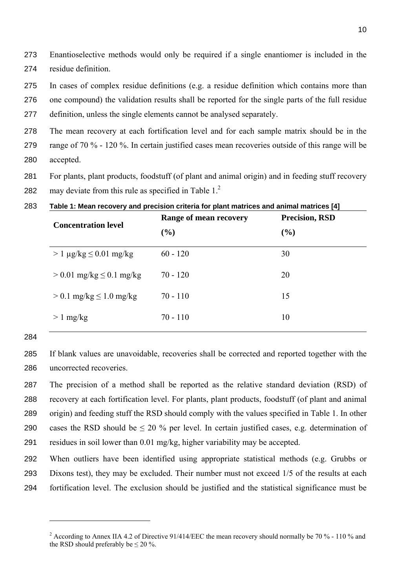Enantioselective methods would only be required if a single enantiomer is included in the residue definition.

- In cases of complex residue definitions (e.g. a residue definition which contains more than
- one compound) the validation results shall be reported for the single parts of the full residue
- definition, unless the single elements cannot be analysed separately.
- The mean recovery at each fortification level and for each sample matrix should be in the range of 70 % - 120 %. In certain justified cases mean recoveries outside of this range will be accepted.
- For plants, plant products, foodstuff (of plant and animal origin) and in feeding stuff recovery
- 282 may deviate from this rule as specified in Table  $1<sup>2</sup>$

| <b>Concentration level</b>        | Range of mean recovery | Precision, RSD |  |
|-----------------------------------|------------------------|----------------|--|
|                                   | (%)                    | (%)            |  |
| $> 1 \mu g/kg \leq 0.01 \mu g/kg$ | $60 - 120$             | 30             |  |
| $> 0.01$ mg/kg $\leq 0.1$ mg/kg   | $70 - 120$             | 20             |  |
| $> 0.1$ mg/kg $\leq 1.0$ mg/kg    | $70 - 110$             | 15             |  |
| $> 1$ mg/kg                       | $70 - 110$             | 10             |  |

**Table 1: Mean recovery and precision criteria for plant matrices and animal matrices [4]** 

If blank values are unavoidable, recoveries shall be corrected and reported together with the uncorrected recoveries.

The precision of a method shall be reported as the relative standard deviation (RSD) of recovery at each fortification level. For plants, plant products, foodstuff (of plant and animal origin) and feeding stuff the RSD should comply with the values specified in Table 1. In other 290 cases the RSD should be  $\leq 20\%$  per level. In certain justified cases, e.g. determination of residues in soil lower than 0.01 mg/kg, higher variability may be accepted.

When outliers have been identified using appropriate statistical methods (e.g. Grubbs or Dixons test), they may be excluded. Their number must not exceed 1/5 of the results at each fortification level. The exclusion should be justified and the statistical significance must be

<sup>&</sup>lt;sup>2</sup> According to Annex IIA 4.2 of Directive 91/414/EEC the mean recovery should normally be 70 % - 110 % and the RSD should preferably be  $\leq 20\%$ .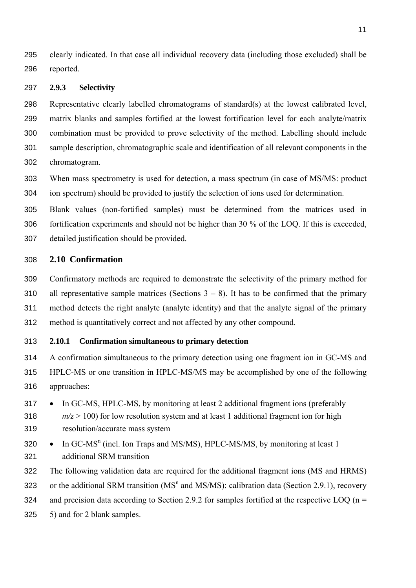clearly indicated. In that case all individual recovery data (including those excluded) shall be reported.

#### **2.9.3 Selectivity**

Representative clearly labelled chromatograms of standard(s) at the lowest calibrated level, matrix blanks and samples fortified at the lowest fortification level for each analyte/matrix combination must be provided to prove selectivity of the method. Labelling should include sample description, chromatographic scale and identification of all relevant components in the chromatogram.

When mass spectrometry is used for detection, a mass spectrum (in case of MS/MS: product ion spectrum) should be provided to justify the selection of ions used for determination.

Blank values (non-fortified samples) must be determined from the matrices used in fortification experiments and should not be higher than 30 % of the LOQ. If this is exceeded, detailed justification should be provided.

#### **2.10 Confirmation**

Confirmatory methods are required to demonstrate the selectivity of the primary method for 310 all representative sample matrices (Sections  $3 - 8$ ). It has to be confirmed that the primary method detects the right analyte (analyte identity) and that the analyte signal of the primary method is quantitatively correct and not affected by any other compound.

#### **2.10.1 Confirmation simultaneous to primary detection**

A confirmation simultaneous to the primary detection using one fragment ion in GC-MS and HPLC-MS or one transition in HPLC-MS/MS may be accomplished by one of the following approaches:

- In GC-MS, HPLC-MS, by monitoring at least 2 additional fragment ions (preferably 318  $m/z > 100$ ) for low resolution system and at least 1 additional fragment ion for high resolution/accurate mass system
- $\text{320}$  In GC-MS<sup>n</sup> (incl. Ion Traps and MS/MS), HPLC-MS/MS, by monitoring at least 1 additional SRM transition
- The following validation data are required for the additional fragment ions (MS and HRMS)

323 or the additional SRM transition  $(MS<sup>n</sup>$  and MS/MS): calibration data (Section 2.9.1), recovery

324 and precision data according to Section 2.9.2 for samples fortified at the respective LOQ ( $n =$ 

5) and for 2 blank samples.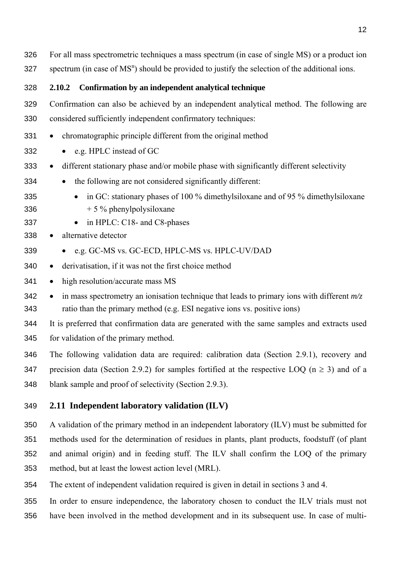| 326 | For all mass spectrometric techniques a mass spectrum (in case of single MS) or a product ion              |
|-----|------------------------------------------------------------------------------------------------------------|
| 327 | spectrum (in case of MS <sup>n</sup> ) should be provided to justify the selection of the additional ions. |
| 328 | Confirmation by an independent analytical technique<br>2.10.2                                              |
| 329 | Confirmation can also be achieved by an independent analytical method. The following are                   |
| 330 | considered sufficiently independent confirmatory techniques:                                               |
| 331 | chromatographic principle different from the original method<br>$\bullet$                                  |
| 332 | e.g. HPLC instead of GC                                                                                    |
| 333 | different stationary phase and/or mobile phase with significantly different selectivity<br>$\bullet$       |
| 334 | the following are not considered significantly different:                                                  |
| 335 | in GC: stationary phases of 100 % dimethylsiloxane and of 95 % dimethylsiloxane<br>$\bullet$               |
| 336 | $+5\%$ phenylpolysiloxane                                                                                  |
| 337 | in HPLC: C18- and C8-phases<br>$\bullet$                                                                   |
| 338 | alternative detector<br>$\bullet$                                                                          |
| 339 | • e.g. GC-MS vs. GC-ECD, HPLC-MS vs. HPLC-UV/DAD                                                           |
| 340 | derivatisation, if it was not the first choice method<br>$\bullet$                                         |
| 341 | high resolution/accurate mass MS<br>$\bullet$                                                              |
| 342 | in mass spectrometry an ionisation technique that leads to primary ions with different $m/z$<br>$\bullet$  |
| 343 | ratio than the primary method (e.g. ESI negative ions vs. positive ions)                                   |
| 344 | It is preferred that confirmation data are generated with the same samples and extracts used               |
| 345 | for validation of the primary method.                                                                      |

The following validation data are required: calibration data (Section 2.9.1), recovery and 347 precision data (Section 2.9.2) for samples fortified at the respective LOQ ( $n \ge 3$ ) and of a blank sample and proof of selectivity (Section 2.9.3).

# **2.11 Independent laboratory validation (ILV)**

A validation of the primary method in an independent laboratory (ILV) must be submitted for methods used for the determination of residues in plants, plant products, foodstuff (of plant and animal origin) and in feeding stuff. The ILV shall confirm the LOQ of the primary method, but at least the lowest action level (MRL).

The extent of independent validation required is given in detail in sections 3 and 4.

In order to ensure independence, the laboratory chosen to conduct the ILV trials must not have been involved in the method development and in its subsequent use. In case of multi-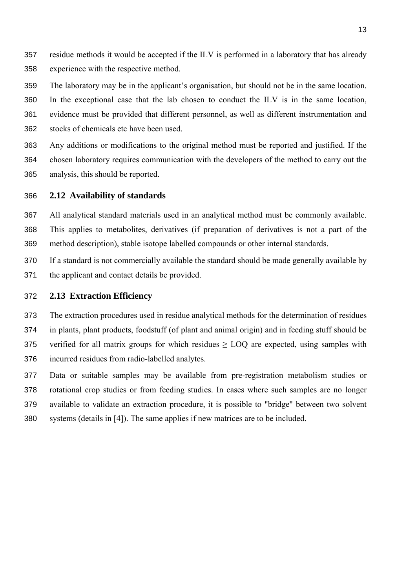- residue methods it would be accepted if the ILV is performed in a laboratory that has already experience with the respective method.
- The laboratory may be in the applicant's organisation, but should not be in the same location.

In the exceptional case that the lab chosen to conduct the ILV is in the same location, evidence must be provided that different personnel, as well as different instrumentation and stocks of chemicals etc have been used.

Any additions or modifications to the original method must be reported and justified. If the chosen laboratory requires communication with the developers of the method to carry out the analysis, this should be reported.

#### **2.12 Availability of standards**

All analytical standard materials used in an analytical method must be commonly available. This applies to metabolites, derivatives (if preparation of derivatives is not a part of the method description), stable isotope labelled compounds or other internal standards.

If a standard is not commercially available the standard should be made generally available by the applicant and contact details be provided.

#### **2.13 Extraction Efficiency**

The extraction procedures used in residue analytical methods for the determination of residues in plants, plant products, foodstuff (of plant and animal origin) and in feeding stuff should be 375 verified for all matrix groups for which residues  $\geq$  LOQ are expected, using samples with incurred residues from radio-labelled analytes.

Data or suitable samples may be available from pre-registration metabolism studies or rotational crop studies or from feeding studies. In cases where such samples are no longer available to validate an extraction procedure, it is possible to "bridge" between two solvent systems (details in [4]). The same applies if new matrices are to be included.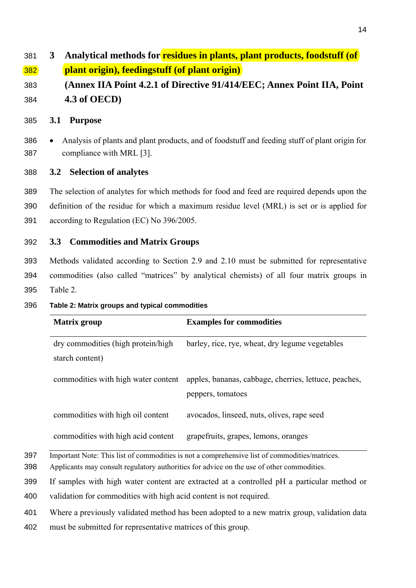# **3 Analytical methods for residues in plants, plant products, foodstuff (of plant origin), feedingstuff (of plant origin)**

**(Annex IIA Point 4.2.1 of Directive 91/414/EEC; Annex Point IIA, Point 4.3 of OECD)** 

#### **3.1 Purpose**

• Analysis of plants and plant products, and of foodstuff and feeding stuff of plant origin for compliance with MRL [3].

## **3.2 Selection of analytes**

The selection of analytes for which methods for food and feed are required depends upon the definition of the residue for which a maximum residue level (MRL) is set or is applied for according to Regulation (EC) No 396/2005.

## **3.3 Commodities and Matrix Groups**

Methods validated according to Section 2.9 and 2.10 must be submitted for representative commodities (also called "matrices" by analytical chemists) of all four matrix groups in Table 2.

#### **Table 2: Matrix groups and typical commodities**

| <b>Matrix group</b>                                                                                                                                                                        | <b>Examples for commodities</b>                                            |  |  |
|--------------------------------------------------------------------------------------------------------------------------------------------------------------------------------------------|----------------------------------------------------------------------------|--|--|
| dry commodities (high protein/high<br>starch content)                                                                                                                                      | barley, rice, rye, wheat, dry legume vegetables                            |  |  |
| commodities with high water content                                                                                                                                                        | apples, bananas, cabbage, cherries, lettuce, peaches,<br>peppers, tomatoes |  |  |
| commodities with high oil content                                                                                                                                                          | avocados, linseed, nuts, olives, rape seed                                 |  |  |
| commodities with high acid content                                                                                                                                                         | grapefruits, grapes, lemons, oranges                                       |  |  |
| Important Note: This list of commodities is not a comprehensive list of commodities/matrices.<br>Applicants may consult regulatory authorities for advice on the use of other commodities. |                                                                            |  |  |

If samples with high water content are extracted at a controlled pH a particular method or

validation for commodities with high acid content is not required.

Where a previously validated method has been adopted to a new matrix group, validation data

must be submitted for representative matrices of this group.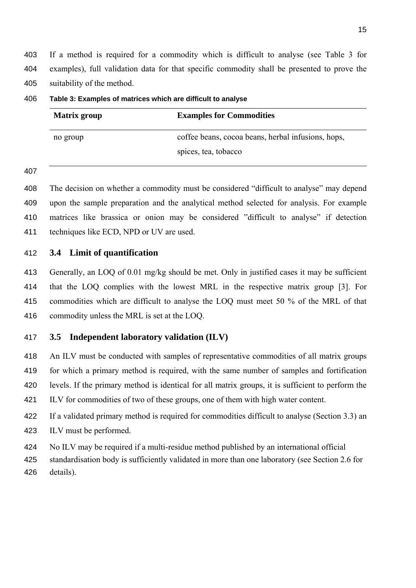If a method is required for a commodity which is difficult to analyse (see Table 3 for examples), full validation data for that specific commodity shall be presented to prove the suitability of the method.

| <b>Matrix group</b> | <b>Examples for Commodities</b>                    |
|---------------------|----------------------------------------------------|
| no group            | coffee beans, cocoa beans, herbal infusions, hops, |
|                     | spices, tea, tobacco                               |

**Table 3: Examples of matrices which are difficult to analyse** 

The decision on whether a commodity must be considered "difficult to analyse" may depend upon the sample preparation and the analytical method selected for analysis. For example matrices like brassica or onion may be considered "difficult to analyse" if detection techniques like ECD, NPD or UV are used.

**3.4 Limit of quantification** 

Generally, an LOQ of 0.01 mg/kg should be met. Only in justified cases it may be sufficient that the LOQ complies with the lowest MRL in the respective matrix group [3]. For commodities which are difficult to analyse the LOQ must meet 50 % of the MRL of that commodity unless the MRL is set at the LOQ.

## **3.5 Independent laboratory validation (ILV)**

An ILV must be conducted with samples of representative commodities of all matrix groups for which a primary method is required, with the same number of samples and fortification levels. If the primary method is identical for all matrix groups, it is sufficient to perform the ILV for commodities of two of these groups, one of them with high water content.

If a validated primary method is required for commodities difficult to analyse (Section 3.3) an ILV must be performed.

No ILV may be required if a multi-residue method published by an international official

standardisation body is sufficiently validated in more than one laboratory (see Section 2.6 for details).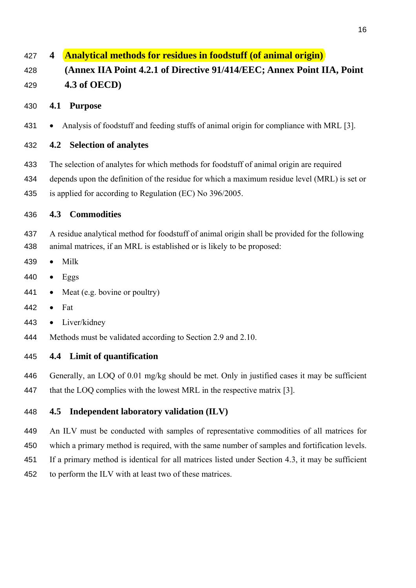# **4 Analytical methods for residues in foodstuff (of animal origin)**

**(Annex IIA Point 4.2.1 of Directive 91/414/EEC; Annex Point IIA, Point 4.3 of OECD)** 

# **4.1 Purpose**

• Analysis of foodstuff and feeding stuffs of animal origin for compliance with MRL [3].

# **4.2 Selection of analytes**

- The selection of analytes for which methods for foodstuff of animal origin are required
- depends upon the definition of the residue for which a maximum residue level (MRL) is set or
- is applied for according to Regulation (EC) No 396/2005.

# **4.3 Commodities**

A residue analytical method for foodstuff of animal origin shall be provided for the following animal matrices, if an MRL is established or is likely to be proposed:

- Milk
- Eggs
- 441 Meat (e.g. bovine or poultry)
- Fat
- Liver/kidney
- Methods must be validated according to Section 2.9 and 2.10.

# **4.4 Limit of quantification**

- Generally, an LOQ of 0.01 mg/kg should be met. Only in justified cases it may be sufficient
- 447 that the LOQ complies with the lowest MRL in the respective matrix [3].

# **4.5 Independent laboratory validation (ILV)**

An ILV must be conducted with samples of representative commodities of all matrices for

which a primary method is required, with the same number of samples and fortification levels.

- If a primary method is identical for all matrices listed under Section 4.3, it may be sufficient
- to perform the ILV with at least two of these matrices.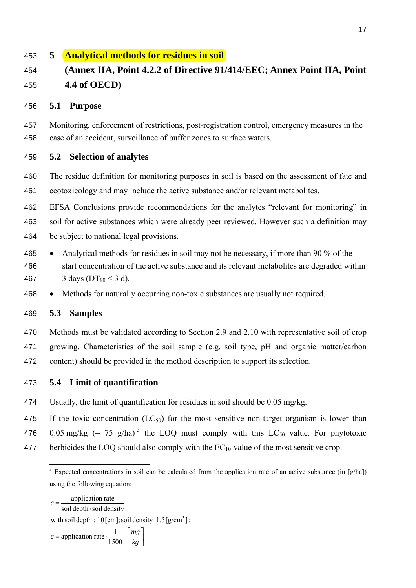# **5 Analytical methods for residues in soil**

# **(Annex IIA, Point 4.2.2 of Directive 91/414/EEC; Annex Point IIA, Point 4.4 of OECD)**

#### **5.1 Purpose**

Monitoring, enforcement of restrictions, post-registration control, emergency measures in the case of an accident, surveillance of buffer zones to surface waters.

## **5.2 Selection of analytes**

The residue definition for monitoring purposes in soil is based on the assessment of fate and ecotoxicology and may include the active substance and/or relevant metabolites.

EFSA Conclusions provide recommendations for the analytes "relevant for monitoring" in soil for active substances which were already peer reviewed. However such a definition may be subject to national legal provisions.

- Analytical methods for residues in soil may not be necessary, if more than 90 % of the start concentration of the active substance and its relevant metabolites are degraded within 467 3 days ( $DT_{90}$  < 3 d).
- Methods for naturally occurring non-toxic substances are usually not required.

## **5.3 Samples**

Methods must be validated according to Section 2.9 and 2.10 with representative soil of crop growing. Characteristics of the soil sample (e.g. soil type, pH and organic matter/carbon content) should be provided in the method description to support its selection.

- **5.4 Limit of quantification**
- Usually, the limit of quantification for residues in soil should be 0.05 mg/kg.

475 If the toxic concentration  $(LC_{50})$  for the most sensitive non-target organism is lower than

476 0.05 mg/kg  $(= 75 \text{ g/ha})^3$  the LOO must comply with this LC<sub>50</sub> value. For phytotoxic

477 herbicides the LOQ should also comply with the  $EC_{10}$ -value of the most sensitive crop.

 $\left\lfloor \frac{mg}{kg} \right\rfloor$ = application rate  $\frac{1}{\sqrt{1-x^2}}$  $=\frac{appract of rate}{\text{soil depth} \cdot \text{soil density}}$  $c =$  application rate  $\cdot \frac{1}{1500}$   $\frac{mg}{kg}$  $c =$ with soil depth : [cm]; soil density :  $1.5$  [g/cm<sup>3</sup>] : application rate

<sup>&</sup>lt;sup>3</sup> Expected concentrations in soil can be calculated from the application rate of an active substance (in [g/ha]) using the following equation: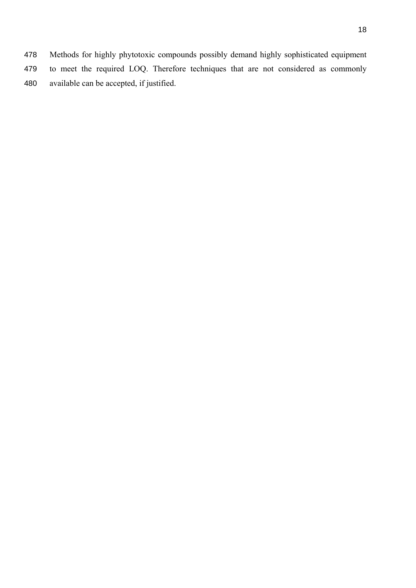Methods for highly phytotoxic compounds possibly demand highly sophisticated equipment to meet the required LOQ. Therefore techniques that are not considered as commonly available can be accepted, if justified.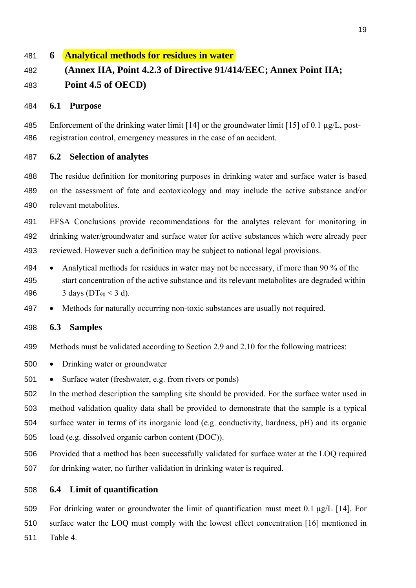# **6 Analytical methods for residues in water**

# **(Annex IIA, Point 4.2.3 of Directive 91/414/EEC; Annex Point IIA; Point 4.5 of OECD)**

#### **6.1 Purpose**

Enforcement of the drinking water limit [14] or the groundwater limit [15] of 0.1 µg/L, post-registration control, emergency measures in the case of an accident.

**6.2 Selection of analytes** 

The residue definition for monitoring purposes in drinking water and surface water is based on the assessment of fate and ecotoxicology and may include the active substance and/or relevant metabolites.

EFSA Conclusions provide recommendations for the analytes relevant for monitoring in drinking water/groundwater and surface water for active substances which were already peer reviewed. However such a definition may be subject to national legal provisions.

- Analytical methods for residues in water may not be necessary, if more than 90 % of the start concentration of the active substance and its relevant metabolites are degraded within 496 3 days ( $DT_{90}$  < 3 d).
- Methods for naturally occurring non-toxic substances are usually not required.

#### **6.3 Samples**

- Methods must be validated according to Section 2.9 and 2.10 for the following matrices:
- Drinking water or groundwater
- Surface water (freshwater, e.g. from rivers or ponds)

In the method description the sampling site should be provided. For the surface water used in method validation quality data shall be provided to demonstrate that the sample is a typical surface water in terms of its inorganic load (e.g. conductivity, hardness, pH) and its organic load (e.g. dissolved organic carbon content (DOC)).

Provided that a method has been successfully validated for surface water at the LOQ required for drinking water, no further validation in drinking water is required.

## **6.4 Limit of quantification**

For drinking water or groundwater the limit of quantification must meet 0.1 µg/L [14]. For surface water the LOQ must comply with the lowest effect concentration [16] mentioned in Table 4.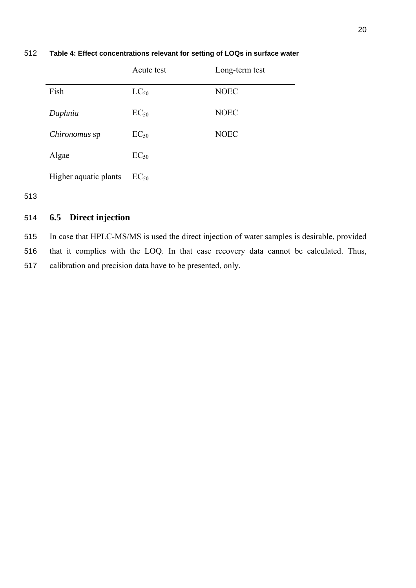|                       | Acute test | Long-term test |
|-----------------------|------------|----------------|
| Fish                  | $LC_{50}$  | <b>NOEC</b>    |
| Daphnia               | $EC_{50}$  | <b>NOEC</b>    |
| <i>Chironomus</i> sp  | $EC_{50}$  | <b>NOEC</b>    |
| Algae                 | $EC_{50}$  |                |
| Higher aquatic plants | $EC_{50}$  |                |

512 **Table 4: Effect concentrations relevant for setting of LOQs in surface water** 

513

# 514 **6.5 Direct injection**

515 In case that HPLC-MS/MS is used the direct injection of water samples is desirable, provided

516 that it complies with the LOQ. In that case recovery data cannot be calculated. Thus,

517 calibration and precision data have to be presented, only.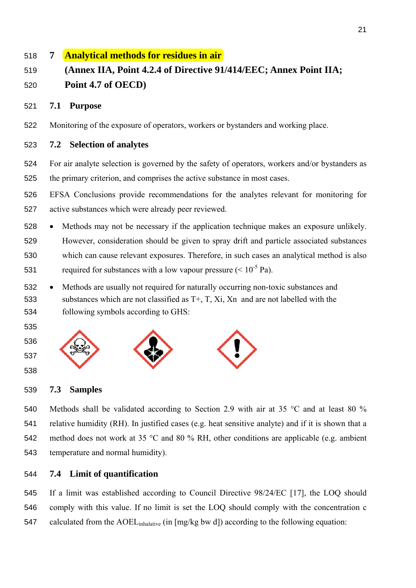# **7 Analytical methods for residues in air**

# **(Annex IIA, Point 4.2.4 of Directive 91/414/EEC; Annex Point IIA; Point 4.7 of OECD)**

## **7.1 Purpose**

Monitoring of the exposure of operators, workers or bystanders and working place.

# **7.2 Selection of analytes**

For air analyte selection is governed by the safety of operators, workers and/or bystanders as the primary criterion, and comprises the active substance in most cases.

- EFSA Conclusions provide recommendations for the analytes relevant for monitoring for active substances which were already peer reviewed.
- Methods may not be necessary if the application technique makes an exposure unlikely. However, consideration should be given to spray drift and particle associated substances which can cause relevant exposures. Therefore, in such cases an analytical method is also 531 required for substances with a low vapour pressure  $(< 10^{-5}$  Pa).
- Methods are usually not required for naturally occurring non-toxic substances and substances which are not classified as T+, T, Xi, Xn and are not labelled with the following symbols according to GHS:
- 



# **7.3 Samples**

Methods shall be validated according to Section 2.9 with air at 35 °C and at least 80 % relative humidity (RH). In justified cases (e.g. heat sensitive analyte) and if it is shown that a method does not work at 35 °C and 80 % RH, other conditions are applicable (e.g. ambient temperature and normal humidity).

# **7.4 Limit of quantification**

If a limit was established according to Council Directive 98/24/EC [17], the LOQ should comply with this value. If no limit is set the LOQ should comply with the concentration c 547 calculated from the AOEL<sub>inhalative</sub> (in [mg/kg bw d]) according to the following equation: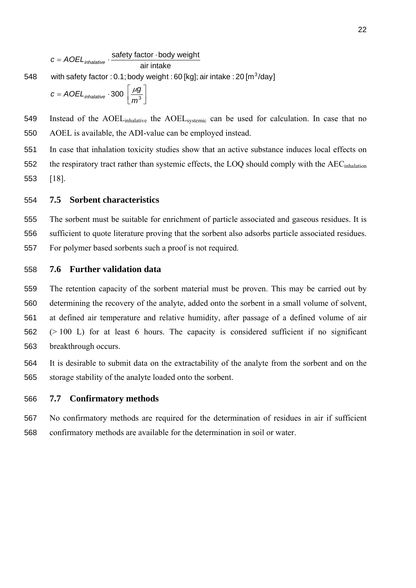$$
c = A O E L_{inhalative} \cdot \frac{\text{safety factor} \cdot \text{body weight}}{\text{air intake}}
$$

with safety factor : 0.1; body weight : 60 [kg]; air intake : 20 [m $^3$ /day] 548

$$
c = A O E L_{\text{inhalative}} \cdot 300 \left[ \frac{\mu g}{m^3} \right]
$$

549 Instead of the AOELinhalative the AOELsystemic can be used for calculation. In case that no 550 AOEL is available, the ADI-value can be employed instead.

551 In case that inhalation toxicity studies show that an active substance induces local effects on 552 the respiratory tract rather than systemic effects, the LOQ should comply with the AEC<sub>inhalation</sub> 553 [18].

## 554 **7.5 Sorbent characteristics**

555 The sorbent must be suitable for enrichment of particle associated and gaseous residues. It is 556 sufficient to quote literature proving that the sorbent also adsorbs particle associated residues. 557 For polymer based sorbents such a proof is not required.

#### 558 **7.6 Further validation data**

The retention capacity of the sorbent material must be proven. This may be carried out by determining the recovery of the analyte, added onto the sorbent in a small volume of solvent, at defined air temperature and relative humidity, after passage of a defined volume of air (> 100 L) for at least 6 hours. The capacity is considered sufficient if no significant breakthrough occurs.

564 It is desirable to submit data on the extractability of the analyte from the sorbent and on the 565 storage stability of the analyte loaded onto the sorbent.

#### 566 **7.7 Confirmatory methods**

567 No confirmatory methods are required for the determination of residues in air if sufficient 568 confirmatory methods are available for the determination in soil or water.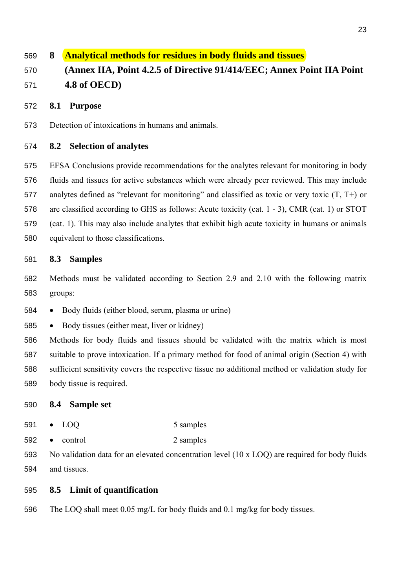# **8 Analytical methods for residues in body fluids and tissues (Annex IIA, Point 4.2.5 of Directive 91/414/EEC; Annex Point IIA Point 4.8 of OECD)**

#### **8.1 Purpose**

Detection of intoxications in humans and animals.

#### **8.2 Selection of analytes**

EFSA Conclusions provide recommendations for the analytes relevant for monitoring in body fluids and tissues for active substances which were already peer reviewed. This may include analytes defined as "relevant for monitoring" and classified as toxic or very toxic (T, T+) or are classified according to GHS as follows: Acute toxicity (cat. 1 - 3), CMR (cat. 1) or STOT (cat. 1). This may also include analytes that exhibit high acute toxicity in humans or animals equivalent to those classifications.

#### **8.3 Samples**

Methods must be validated according to Section 2.9 and 2.10 with the following matrix groups:

• Body fluids (either blood, serum, plasma or urine)

• Body tissues (either meat, liver or kidney)

Methods for body fluids and tissues should be validated with the matrix which is most suitable to prove intoxication. If a primary method for food of animal origin (Section 4) with sufficient sensitivity covers the respective tissue no additional method or validation study for body tissue is required.

#### **8.4 Sample set**

- 591 LOO 5 samples
- control 2 samples

No validation data for an elevated concentration level (10 x LOQ) are required for body fluids and tissues.

#### **8.5 Limit of quantification**

The LOQ shall meet 0.05 mg/L for body fluids and 0.1 mg/kg for body tissues.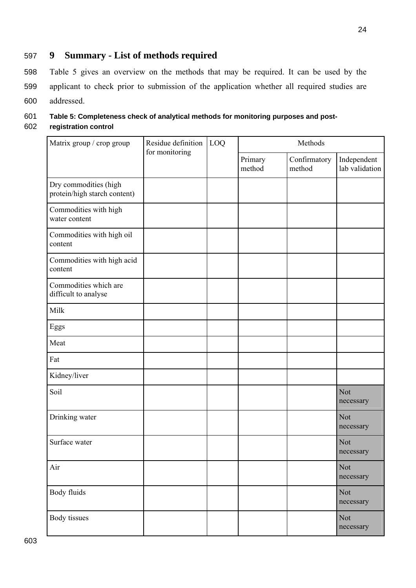# 597 **9 Summary - List of methods required**

598 Table 5 gives an overview on the methods that may be required. It can be used by the 599 applicant to check prior to submission of the application whether all required studies are 600 addressed.

# 601 **Table 5: Completeness check of analytical methods for monitoring purposes and post-**602 **registration control**

| Matrix group / crop group                             | Residue definition<br>for monitoring | LOQ | Methods           |                        |                               |
|-------------------------------------------------------|--------------------------------------|-----|-------------------|------------------------|-------------------------------|
|                                                       |                                      |     | Primary<br>method | Confirmatory<br>method | Independent<br>lab validation |
| Dry commodities (high<br>protein/high starch content) |                                      |     |                   |                        |                               |
| Commodities with high<br>water content                |                                      |     |                   |                        |                               |
| Commodities with high oil<br>content                  |                                      |     |                   |                        |                               |
| Commodities with high acid<br>content                 |                                      |     |                   |                        |                               |
| Commodities which are<br>difficult to analyse         |                                      |     |                   |                        |                               |
| Milk                                                  |                                      |     |                   |                        |                               |
| Eggs                                                  |                                      |     |                   |                        |                               |
| Meat                                                  |                                      |     |                   |                        |                               |
| Fat                                                   |                                      |     |                   |                        |                               |
| Kidney/liver                                          |                                      |     |                   |                        |                               |
| Soil                                                  |                                      |     |                   |                        | Not<br>necessary              |
| Drinking water                                        |                                      |     |                   |                        | Not<br>necessary              |
| Surface water                                         |                                      |     |                   |                        | Not<br>necessary              |
| Air                                                   |                                      |     |                   |                        | <b>Not</b><br>necessary       |
| Body fluids                                           |                                      |     |                   |                        | Not<br>necessary              |
| Body tissues                                          |                                      |     |                   |                        | <b>Not</b><br>necessary       |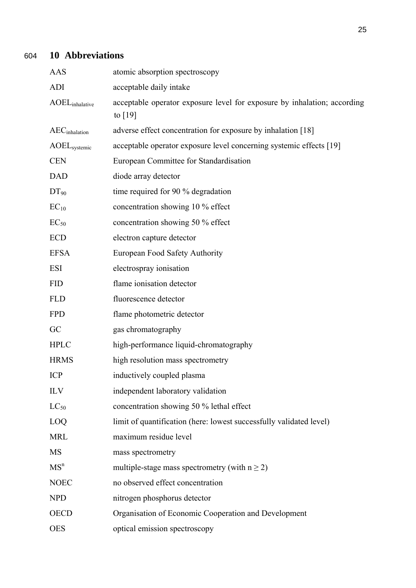# 604 **10 Abbreviations**

| <b>AAS</b>                        | atomic absorption spectroscopy                                                        |
|-----------------------------------|---------------------------------------------------------------------------------------|
| <b>ADI</b>                        | acceptable daily intake                                                               |
| <b>AOEL</b> <sub>inhalative</sub> | acceptable operator exposure level for exposure by inhalation; according<br>to $[19]$ |
| $AEC$ <sub>inhalation</sub>       | adverse effect concentration for exposure by inhalation [18]                          |
| AOEL <sub>systemic</sub>          | acceptable operator exposure level concerning systemic effects [19]                   |
| <b>CEN</b>                        | European Committee for Standardisation                                                |
| <b>DAD</b>                        | diode array detector                                                                  |
| $DT_{90}$                         | time required for 90 % degradation                                                    |
| $EC_{10}$                         | concentration showing 10 % effect                                                     |
| $EC_{50}$                         | concentration showing 50 % effect                                                     |
| <b>ECD</b>                        | electron capture detector                                                             |
| <b>EFSA</b>                       | European Food Safety Authority                                                        |
| <b>ESI</b>                        | electrospray ionisation                                                               |
| <b>FID</b>                        | flame ionisation detector                                                             |
| <b>FLD</b>                        | fluorescence detector                                                                 |
| <b>FPD</b>                        | flame photometric detector                                                            |
| GC                                | gas chromatography                                                                    |
| <b>HPLC</b>                       | high-performance liquid-chromatography                                                |
| <b>HRMS</b>                       | high resolution mass spectrometry                                                     |
| <b>ICP</b>                        | inductively coupled plasma                                                            |
| <b>ILV</b>                        | independent laboratory validation                                                     |
| $LC_{50}$                         | concentration showing 50 % lethal effect                                              |
| LOQ                               | limit of quantification (here: lowest successfully validated level)                   |
| <b>MRL</b>                        | maximum residue level                                                                 |
| <b>MS</b>                         | mass spectrometry                                                                     |
| MS <sup>n</sup>                   | multiple-stage mass spectrometry (with $n \ge 2$ )                                    |
| <b>NOEC</b>                       | no observed effect concentration                                                      |
| <b>NPD</b>                        | nitrogen phosphorus detector                                                          |
| <b>OECD</b>                       | Organisation of Economic Cooperation and Development                                  |
| <b>OES</b>                        | optical emission spectroscopy                                                         |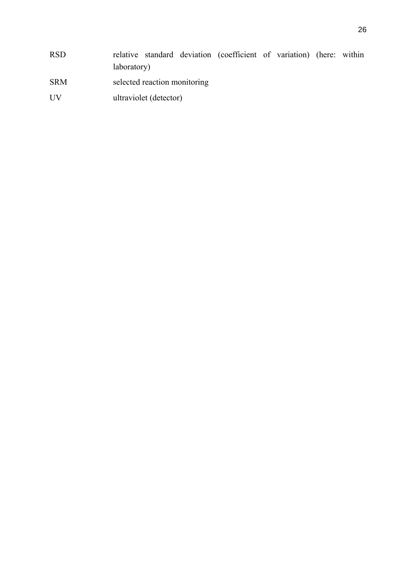- SRM selected reaction monitoring
- UV ultraviolet (detector)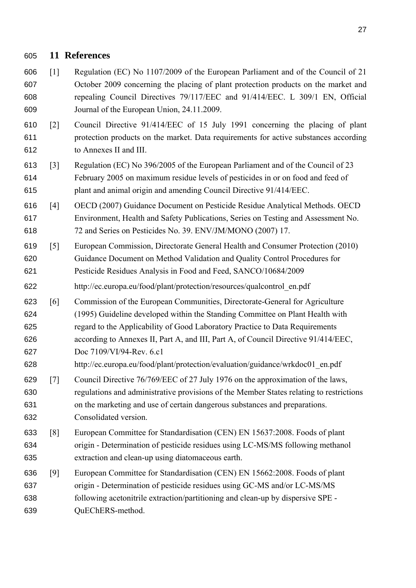# **11 References**

- [1] Regulation (EC) No 1107/2009 of the European Parliament and of the Council of 21 October 2009 concerning the placing of plant protection products on the market and repealing Council Directives 79/117/EEC and 91/414/EEC. L 309/1 EN, Official Journal of the European Union, 24.11.2009.
- [2] Council Directive 91/414/EEC of 15 July 1991 concerning the placing of plant protection products on the market. Data requirements for active substances according to Annexes II and III.
- [3] Regulation (EC) No 396/2005 of the European Parliament and of the Council of 23 February 2005 on maximum residue levels of pesticides in or on food and feed of plant and animal origin and amending Council Directive 91/414/EEC.
- [4] OECD (2007) Guidance Document on Pesticide Residue Analytical Methods. OECD Environment, Health and Safety Publications, Series on Testing and Assessment No. 72 and Series on Pesticides No. 39. ENV/JM/MONO (2007) 17.
- [5] European Commission, Directorate General Health and Consumer Protection (2010) Guidance Document on Method Validation and Quality Control Procedures for Pesticide Residues Analysis in Food and Feed, SANCO/10684/2009
- http://ec.europa.eu/food/plant/protection/resources/qualcontrol\_en.pdf
- [6] Commission of the European Communities, Directorate-General for Agriculture (1995) Guideline developed within the Standing Committee on Plant Health with regard to the Applicability of Good Laboratory Practice to Data Requirements according to Annexes II, Part A, and III, Part A, of Council Directive 91/414/EEC,
- Doc 7109/VI/94-Rev. 6.c1 http://ec.europa.eu/food/plant/protection/evaluation/guidance/wrkdoc01\_en.pdf
- [7] Council Directive 76/769/EEC of 27 July 1976 on the approximation of the laws, regulations and administrative provisions of the Member States relating to restrictions on the marketing and use of certain dangerous substances and preparations. Consolidated version.
- [8] European Committee for Standardisation (CEN) EN 15637:2008. Foods of plant origin - Determination of pesticide residues using LC-MS/MS following methanol extraction and clean-up using diatomaceous earth.
- [9] European Committee for Standardisation (CEN) EN 15662:2008. Foods of plant origin - Determination of pesticide residues using GC-MS and/or LC-MS/MS following acetonitrile extraction/partitioning and clean-up by dispersive SPE - QuEChERS-method.